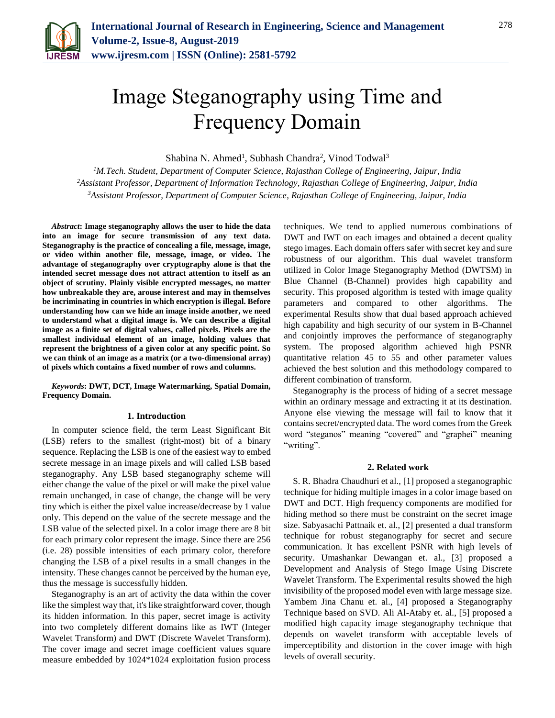

# Image Steganography using Time and Frequency Domain

Shabina N. Ahmed<sup>1</sup>, Subhash Chandra<sup>2</sup>, Vinod Todwal<sup>3</sup>

*<sup>1</sup>M.Tech. Student, Department of Computer Science, Rajasthan College of Engineering, Jaipur, India <sup>2</sup>Assistant Professor, Department of Information Technology, Rajasthan College of Engineering, Jaipur, India 3Assistant Professor, Department of Computer Science, Rajasthan College of Engineering, Jaipur, India*

*Abstract***: Image steganography allows the user to hide the data into an image for secure transmission of any text data. Steganography is the practice of concealing a file, message, image, or video within another file, message, image, or video. The advantage of steganography over cryptography alone is that the intended secret message does not attract attention to itself as an object of scrutiny. Plainly visible encrypted messages, no matter how unbreakable they are, arouse interest and may in themselves be incriminating in countries in which encryption is illegal. Before understanding how can we hide an image inside another, we need to understand what a digital image is. We can describe a digital image as a finite set of digital values, called pixels. Pixels are the smallest individual element of an image, holding values that represent the brightness of a given color at any specific point. So we can think of an image as a matrix (or a two-dimensional array) of pixels which contains a fixed number of rows and columns.**

*Keywords***: DWT, DCT, Image Watermarking, Spatial Domain, Frequency Domain.**

### **1. Introduction**

In computer science field, the term Least Significant Bit (LSB) refers to the smallest (right-most) bit of a binary sequence. Replacing the LSB is one of the easiest way to embed secrete message in an image pixels and will called LSB based steganography. Any LSB based steganography scheme will either change the value of the pixel or will make the pixel value remain unchanged, in case of change, the change will be very tiny which is either the pixel value increase/decrease by 1 value only. This depend on the value of the secrete message and the LSB value of the selected pixel. In a color image there are 8 bit for each primary color represent the image. Since there are 256 (i.e. 28) possible intensities of each primary color, therefore changing the LSB of a pixel results in a small changes in the intensity. These changes cannot be perceived by the human eye, thus the message is successfully hidden.

Steganography is an art of activity the data within the cover like the simplest way that, it's like straightforward cover, though its hidden information. In this paper, secret image is activity into two completely different domains like as IWT (Integer Wavelet Transform) and DWT (Discrete Wavelet Transform). The cover image and secret image coefficient values square measure embedded by 1024\*1024 exploitation fusion process

techniques. We tend to applied numerous combinations of DWT and IWT on each images and obtained a decent quality stego images. Each domain offers safer with secret key and sure robustness of our algorithm. This dual wavelet transform utilized in Color Image Steganography Method (DWTSM) in Blue Channel (B-Channel) provides high capability and security. This proposed algorithm is tested with image quality parameters and compared to other algorithms. The experimental Results show that dual based approach achieved high capability and high security of our system in B-Channel and conjointly improves the performance of steganography system. The proposed algorithm achieved high PSNR quantitative relation 45 to 55 and other parameter values achieved the best solution and this methodology compared to different combination of transform.

Steganography is the process of hiding of a secret message within an ordinary message and extracting it at its destination. Anyone else viewing the message will fail to know that it contains secret/encrypted data. The word comes from the Greek word "steganos" meaning "covered" and "graphei" meaning "writing".

## **2. Related work**

S. R. Bhadra Chaudhuri et al., [1] proposed a steganographic technique for hiding multiple images in a color image based on DWT and DCT. High frequency components are modified for hiding method so there must be constraint on the secret image size. Sabyasachi Pattnaik et. al., [2] presented a dual transform technique for robust steganography for secret and secure communication. It has excellent PSNR with high levels of security. Umashankar Dewangan et. al., [3] proposed a Development and Analysis of Stego Image Using Discrete Wavelet Transform. The Experimental results showed the high invisibility of the proposed model even with large message size. Yambem Jina Chanu et. al., [4] proposed a Steganography Technique based on SVD. Ali Al-Ataby et. al., [5] proposed a modified high capacity image steganography technique that depends on wavelet transform with acceptable levels of imperceptibility and distortion in the cover image with high levels of overall security.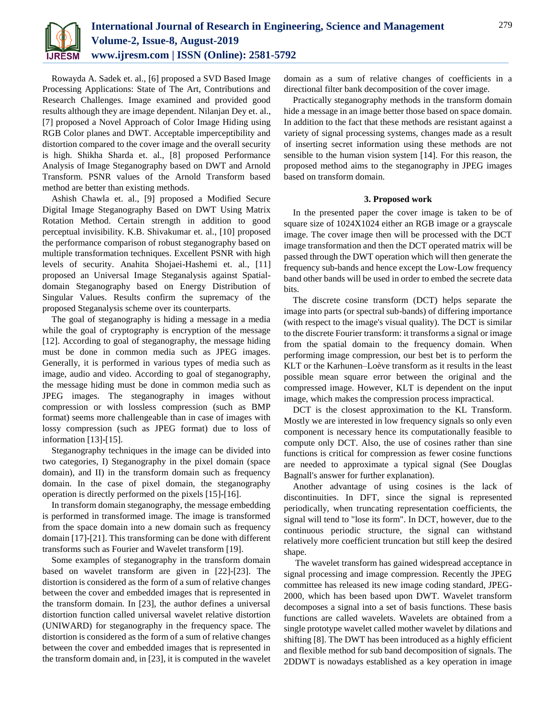

Rowayda A. Sadek et. al., [6] proposed a SVD Based Image Processing Applications: State of The Art, Contributions and Research Challenges. Image examined and provided good results although they are image dependent. Nilanjan Dey et. al., [7] proposed a Novel Approach of Color Image Hiding using RGB Color planes and DWT. Acceptable imperceptibility and distortion compared to the cover image and the overall security is high. Shikha Sharda et. al., [8] proposed Performance Analysis of Image Steganography based on DWT and Arnold Transform. PSNR values of the Arnold Transform based method are better than existing methods.

Ashish Chawla et. al., [9] proposed a Modified Secure Digital Image Steganography Based on DWT Using Matrix Rotation Method. Certain strength in addition to good perceptual invisibility. K.B. Shivakumar et. al., [10] proposed the performance comparison of robust steganography based on multiple transformation techniques. Excellent PSNR with high levels of security. Anahita Shojaei-Hashemi et. al., [11] proposed an Universal Image Steganalysis against Spatialdomain Steganography based on Energy Distribution of Singular Values. Results confirm the supremacy of the proposed Steganalysis scheme over its counterparts.

The goal of steganography is hiding a message in a media while the goal of cryptography is encryption of the message [12]. According to goal of steganography, the message hiding must be done in common media such as JPEG images. Generally, it is performed in various types of media such as image, audio and video. According to goal of steganography, the message hiding must be done in common media such as JPEG images. The steganography in images without compression or with lossless compression (such as BMP format) seems more challengeable than in case of images with lossy compression (such as JPEG format) due to loss of information [13]-[15].

Steganography techniques in the image can be divided into two categories, I) Steganography in the pixel domain (space domain), and II) in the transform domain such as frequency domain. In the case of pixel domain, the steganography operation is directly performed on the pixels [15]-[16].

In transform domain steganography, the message embedding is performed in transformed image. The image is transformed from the space domain into a new domain such as frequency domain [17]-[21]. This transforming can be done with different transforms such as Fourier and Wavelet transform [19].

Some examples of steganography in the transform domain based on wavelet transform are given in [22]-[23]. The distortion is considered as the form of a sum of relative changes between the cover and embedded images that is represented in the transform domain. In [23], the author defines a universal distortion function called universal wavelet relative distortion (UNIWARD) for steganography in the frequency space. The distortion is considered as the form of a sum of relative changes between the cover and embedded images that is represented in the transform domain and, in [23], it is computed in the wavelet domain as a sum of relative changes of coefficients in a directional filter bank decomposition of the cover image.

Practically steganography methods in the transform domain hide a message in an image better those based on space domain. In addition to the fact that these methods are resistant against a variety of signal processing systems, changes made as a result of inserting secret information using these methods are not sensible to the human vision system [14]. For this reason, the proposed method aims to the steganography in JPEG images based on transform domain.

## **3. Proposed work**

In the presented paper the cover image is taken to be of square size of 1024X1024 either an RGB image or a grayscale image. The cover image then will be processed with the DCT image transformation and then the DCT operated matrix will be passed through the DWT operation which will then generate the frequency sub-bands and hence except the Low-Low frequency band other bands will be used in order to embed the secrete data bits.

The discrete cosine transform (DCT) helps separate the image into parts (or spectral sub-bands) of differing importance (with respect to the image's visual quality). The DCT is similar to the discrete Fourier transform: it transforms a signal or image from the spatial domain to the frequency domain. When performing image compression, our best bet is to perform the KLT or the Karhunen–Loève transform as it results in the least possible mean square error between the original and the compressed image. However, KLT is dependent on the input image, which makes the compression process impractical.

DCT is the closest approximation to the KL Transform. Mostly we are interested in low frequency signals so only even component is necessary hence its computationally feasible to compute only DCT. Also, the use of cosines rather than sine functions is critical for compression as fewer cosine functions are needed to approximate a typical signal (See Douglas Bagnall's answer for further explanation).

Another advantage of using cosines is the lack of discontinuities. In DFT, since the signal is represented periodically, when truncating representation coefficients, the signal will tend to "lose its form". In DCT, however, due to the continuous periodic structure, the signal can withstand relatively more coefficient truncation but still keep the desired shape.

The wavelet transform has gained widespread acceptance in signal processing and image compression. Recently the JPEG committee has released its new image coding standard, JPEG-2000, which has been based upon DWT. Wavelet transform decomposes a signal into a set of basis functions. These basis functions are called wavelets. Wavelets are obtained from a single prototype wavelet called mother wavelet by dilations and shifting [8]. The DWT has been introduced as a highly efficient and flexible method for sub band decomposition of signals. The 2DDWT is nowadays established as a key operation in image